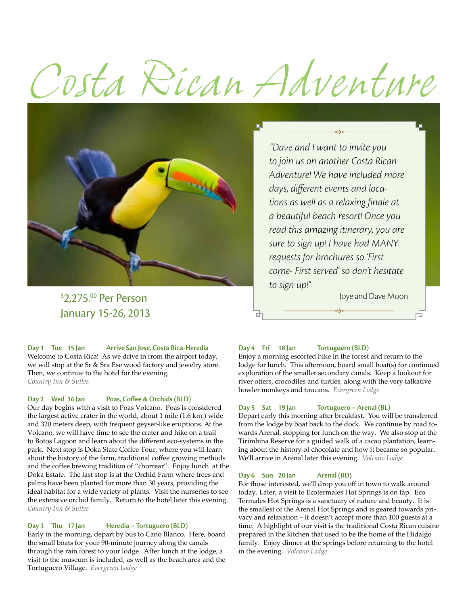# *Costa Rican Adventure*



 $\frac{1}{2}$   $\frac{1}{2}$   $\frac{1}{2}$   $\frac{1}{2}$   $\frac{1}{2}$   $\frac{1}{2}$   $\frac{1}{2}$   $\frac{1}{2}$   $\frac{1}{2}$   $\frac{1}{2}$   $\frac{1}{2}$   $\frac{1}{2}$   $\frac{1}{2}$   $\frac{1}{2}$   $\frac{1}{2}$   $\frac{1}{2}$   $\frac{1}{2}$   $\frac{1}{2}$   $\frac{1}{2}$   $\frac{1}{2}$   $\frac{1}{2}$   $\frac{1}{2}$  January 15-26, 2013

**Day 1 Tue 15 Jan Arrive San Jose, Costa Rica-Heredia** Welcome to Costa Rica! As we drive in from the airport today, we will stop at the Sr & Sra Ese wood factory and jewelry store. Then, we continue to the hotel for the evening. *Country Inn & Suites*

#### **Day 2 Wed 16 Jan Poas, Coffee & Orchids (BLD)**

Our day begins with a visit to Poas Volcano. Poas is considered the largest active crater in the world, about 1 mile (1.6 km.) wide and 320 meters deep, with frequent geyser-like eruptions. At the Volcano, we will have time to see the crater and hike on a trail to Botos Lagoon and learn about the different eco-systems in the park. Next stop is Doka State Coffee Tour, where you will learn about the history of the farm, traditional coffee growing methods and the coffee brewing tradition of "chorrear". Enjoy lunch at the Doka Estate. The last stop is at the Orchid Farm where trees and palms have been planted for more than 30 years, providing the ideal habitat for a wide variety of plants. Visit the nurseries to see the extensive orchid family. Return to the hotel later this evening. *Country Inn & Suites*

#### **Day 3 Thu 17 Jan Heredia – Tortuguero (BLD)**

Early in the morning, depart by bus to Cano Blanco. Here, board the small boats for your 90-minute journey along the canals through the rain forest to your lodge. After lunch at the lodge, a visit to the museum is included, as well as the beach area and the Tortuguero Village. *Evergreen Lodge* 

*"Dave and I want to invite you to join us on another Costa Rican Adventure! We have included more days, different events and locations as well as a relaxing finale at a beautiful beach resort! Once you read this amazing itinerary, you are sure to sign up! I have had MANY requests for brochures so 'First come- First served' so don't hesitate to sign up!"* 

#### **Day 4 Fri 18 Jan Tortuguero (BLD)**

Enjoy a morning escorted hike in the forest and return to the lodge for lunch. This afternoon, board small boat(s) for continued exploration of the smaller secondary canals. Keep a lookout for river otters, crocodiles and turtles, along with the very talkative howler monkeys and toucans. *Evergreen Lodge* 

#### **Day 5 Sat 19 Jan Tortuguero – Arenal (BL)**

Depart early this morning after breakfast. You will be transferred from the lodge by boat back to the dock. We continue by road towards Arenal, stopping for lunch on the way. We also stop at the Tirimbina Reserve for a guided walk of a cacao plantation, learning about the history of chocolate and how it became so popular. We'll arrive in Arenal later this evening. *Volcano Lodge*

#### **Day 6 Sun 20 Jan Arenal (BD**)

For those interested, we'll drop you off in town to walk around today. Later, a visit to Ecotermales Hot Springs is on tap. Eco Termales Hot Springs is a sanctuary of nature and beauty. It is the smallest of the Arenal Hot Springs and is geared towards privacy and relaxation – it doesn't accept more than 100 guests at a time. A highlight of our visit is the traditional Costa Rican cuisine prepared in the kitchen that used to be the home of the Hidalgo family. Enjoy dinner at the springs before returning to the hotel in the evening. *Volcano Lodge*